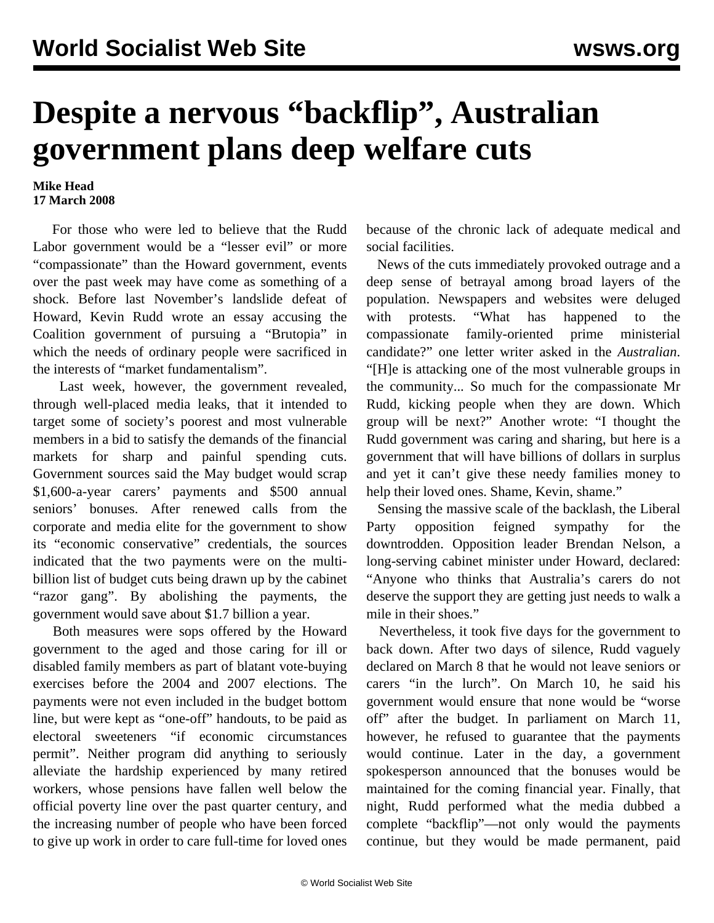## **Despite a nervous "backflip", Australian government plans deep welfare cuts**

## **Mike Head 17 March 2008**

 For those who were led to believe that the Rudd Labor government would be a "lesser evil" or more "compassionate" than the Howard government, events over the past week may have come as something of a shock. Before last November's landslide defeat of Howard, Kevin Rudd wrote an essay accusing the Coalition government of pursuing a "Brutopia" in which the needs of ordinary people were sacrificed in the interests of "market fundamentalism".

 Last week, however, the government revealed, through well-placed media leaks, that it intended to target some of society's poorest and most vulnerable members in a bid to satisfy the demands of the financial markets for sharp and painful spending cuts. Government sources said the May budget would scrap \$1,600-a-year carers' payments and \$500 annual seniors' bonuses. After renewed calls from the corporate and media elite for the government to show its "economic conservative" credentials, the sources indicated that the two payments were on the multibillion list of budget cuts being drawn up by the cabinet "razor gang". By abolishing the payments, the government would save about \$1.7 billion a year.

 Both measures were sops offered by the Howard government to the aged and those caring for ill or disabled family members as part of blatant vote-buying exercises before the 2004 and 2007 elections. The payments were not even included in the budget bottom line, but were kept as "one-off" handouts, to be paid as electoral sweeteners "if economic circumstances permit". Neither program did anything to seriously alleviate the hardship experienced by many retired workers, whose pensions have fallen well below the official poverty line over the past quarter century, and the increasing number of people who have been forced to give up work in order to care full-time for loved ones

because of the chronic lack of adequate medical and social facilities.

 News of the cuts immediately provoked outrage and a deep sense of betrayal among broad layers of the population. Newspapers and websites were deluged with protests. "What has happened to the compassionate family-oriented prime ministerial candidate?" one letter writer asked in the *Australian*. "[H]e is attacking one of the most vulnerable groups in the community... So much for the compassionate Mr Rudd, kicking people when they are down. Which group will be next?" Another wrote: "I thought the Rudd government was caring and sharing, but here is a government that will have billions of dollars in surplus and yet it can't give these needy families money to help their loved ones. Shame, Kevin, shame."

 Sensing the massive scale of the backlash, the Liberal Party opposition feigned sympathy for the downtrodden. Opposition leader Brendan Nelson, a long-serving cabinet minister under Howard, declared: "Anyone who thinks that Australia's carers do not deserve the support they are getting just needs to walk a mile in their shoes."

 Nevertheless, it took five days for the government to back down. After two days of silence, Rudd vaguely declared on March 8 that he would not leave seniors or carers "in the lurch". On March 10, he said his government would ensure that none would be "worse off" after the budget. In parliament on March 11, however, he refused to guarantee that the payments would continue. Later in the day, a government spokesperson announced that the bonuses would be maintained for the coming financial year. Finally, that night, Rudd performed what the media dubbed a complete "backflip"—not only would the payments continue, but they would be made permanent, paid